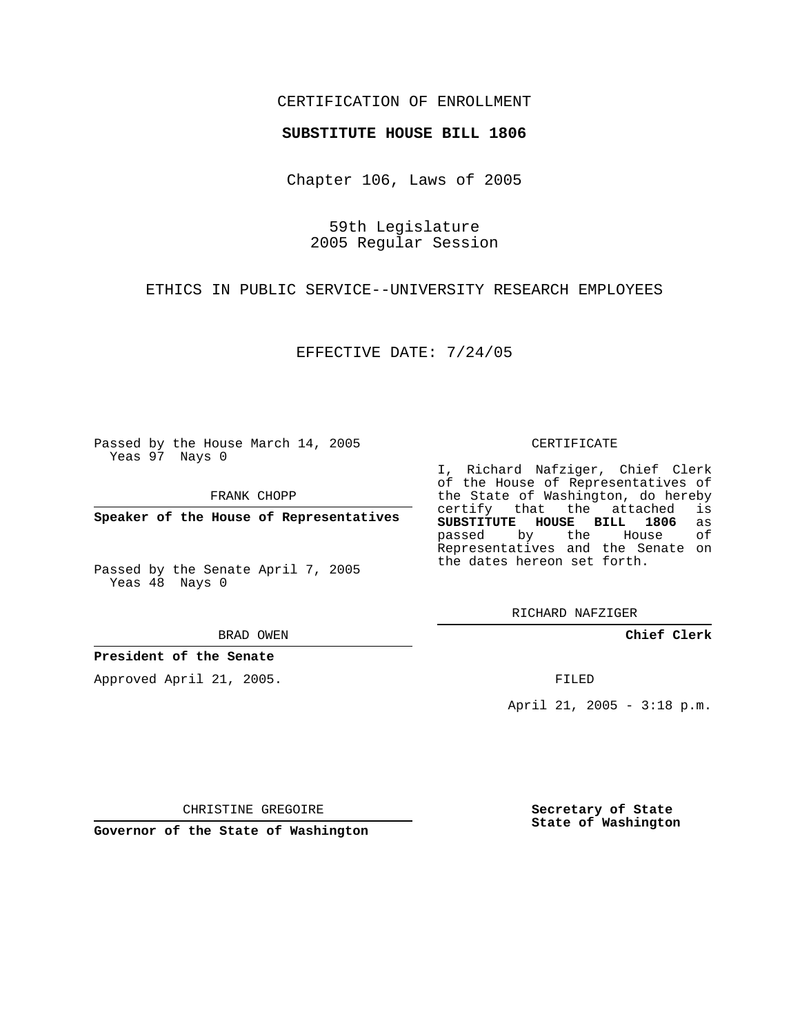## CERTIFICATION OF ENROLLMENT

## **SUBSTITUTE HOUSE BILL 1806**

Chapter 106, Laws of 2005

59th Legislature 2005 Regular Session

ETHICS IN PUBLIC SERVICE--UNIVERSITY RESEARCH EMPLOYEES

EFFECTIVE DATE: 7/24/05

Passed by the House March 14, 2005 Yeas 97 Nays 0

FRANK CHOPP

**Speaker of the House of Representatives**

Passed by the Senate April 7, 2005 Yeas 48 Nays 0

BRAD OWEN

**President of the Senate**

Approved April 21, 2005.

CERTIFICATE

I, Richard Nafziger, Chief Clerk of the House of Representatives of the State of Washington, do hereby<br>certify that the attached is certify that the attached **SUBSTITUTE HOUSE BILL 1806** as passed by the House of Representatives and the Senate on the dates hereon set forth.

RICHARD NAFZIGER

**Chief Clerk**

FILED

April 21, 2005 - 3:18 p.m.

CHRISTINE GREGOIRE

**Governor of the State of Washington**

**Secretary of State State of Washington**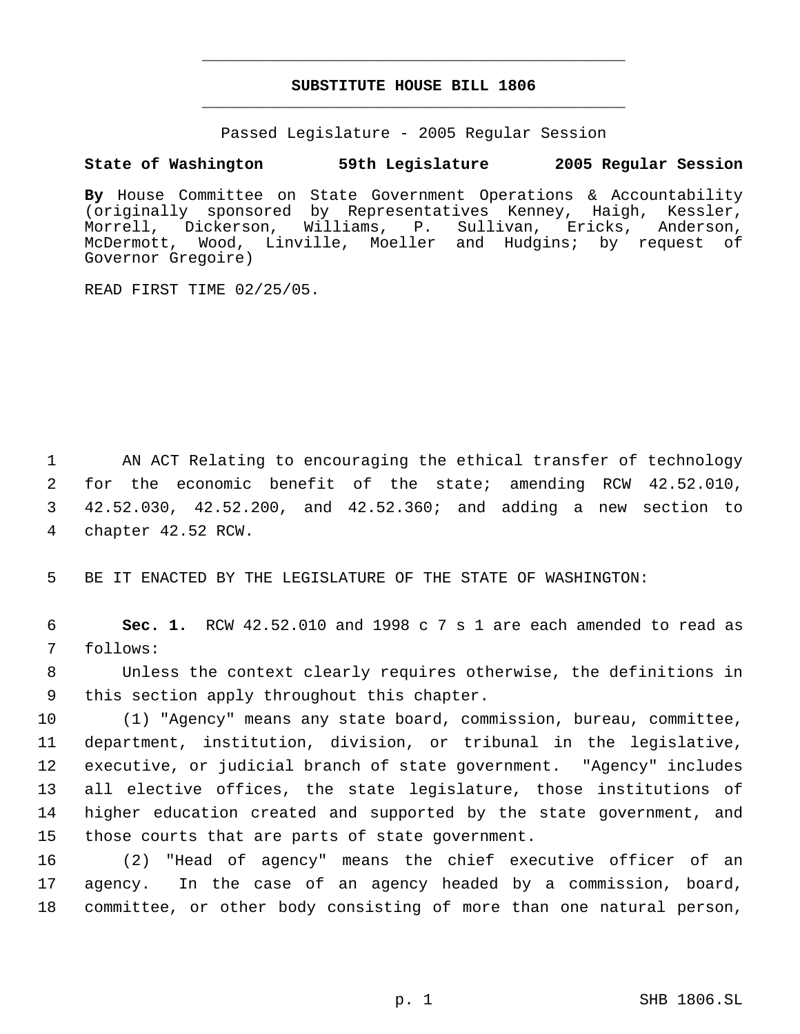## **SUBSTITUTE HOUSE BILL 1806** \_\_\_\_\_\_\_\_\_\_\_\_\_\_\_\_\_\_\_\_\_\_\_\_\_\_\_\_\_\_\_\_\_\_\_\_\_\_\_\_\_\_\_\_\_

\_\_\_\_\_\_\_\_\_\_\_\_\_\_\_\_\_\_\_\_\_\_\_\_\_\_\_\_\_\_\_\_\_\_\_\_\_\_\_\_\_\_\_\_\_

Passed Legislature - 2005 Regular Session

## **State of Washington 59th Legislature 2005 Regular Session**

**By** House Committee on State Government Operations & Accountability (originally sponsored by Representatives Kenney, Haigh, Kessler, Morrell, Dickerson, Williams, P. Sullivan, Ericks, Anderson, McDermott, Wood, Linville, Moeller and Hudgins; by request of Governor Gregoire)

READ FIRST TIME 02/25/05.

 AN ACT Relating to encouraging the ethical transfer of technology for the economic benefit of the state; amending RCW 42.52.010, 42.52.030, 42.52.200, and 42.52.360; and adding a new section to chapter 42.52 RCW.

5 BE IT ENACTED BY THE LEGISLATURE OF THE STATE OF WASHINGTON:

 6 **Sec. 1.** RCW 42.52.010 and 1998 c 7 s 1 are each amended to read as 7 follows:

 8 Unless the context clearly requires otherwise, the definitions in 9 this section apply throughout this chapter.

 (1) "Agency" means any state board, commission, bureau, committee, department, institution, division, or tribunal in the legislative, executive, or judicial branch of state government. "Agency" includes all elective offices, the state legislature, those institutions of higher education created and supported by the state government, and those courts that are parts of state government.

16 (2) "Head of agency" means the chief executive officer of an 17 agency. In the case of an agency headed by a commission, board, 18 committee, or other body consisting of more than one natural person,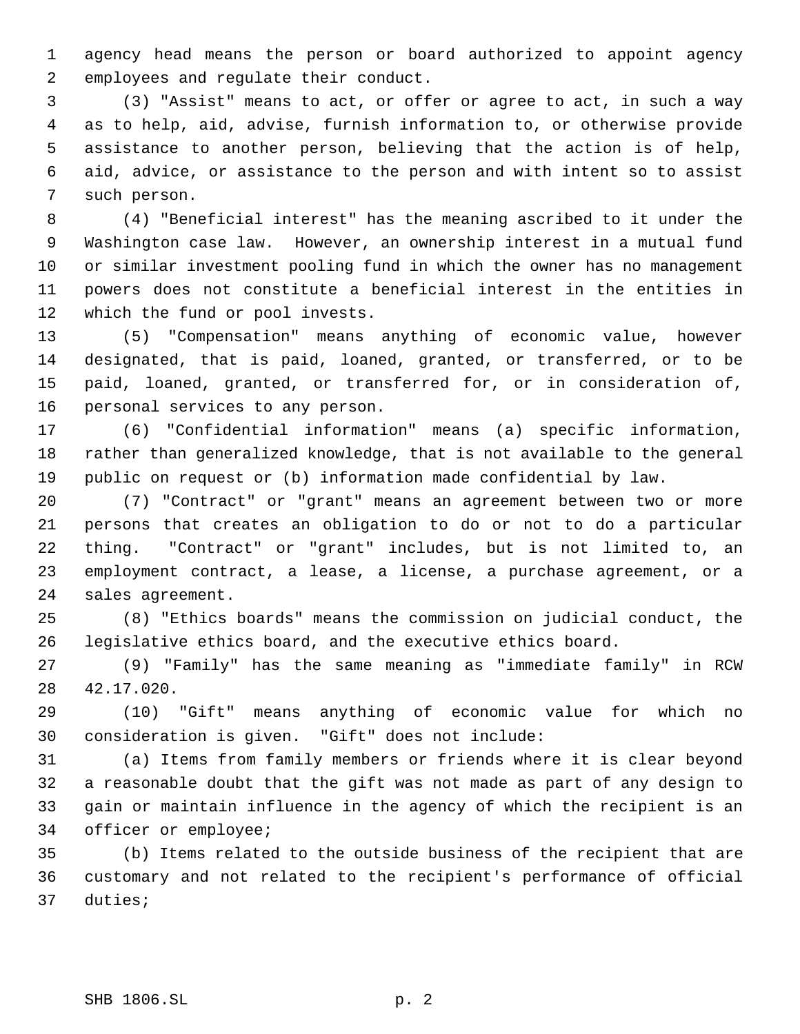agency head means the person or board authorized to appoint agency employees and regulate their conduct.

 (3) "Assist" means to act, or offer or agree to act, in such a way as to help, aid, advise, furnish information to, or otherwise provide assistance to another person, believing that the action is of help, aid, advice, or assistance to the person and with intent so to assist such person.

 (4) "Beneficial interest" has the meaning ascribed to it under the Washington case law. However, an ownership interest in a mutual fund or similar investment pooling fund in which the owner has no management powers does not constitute a beneficial interest in the entities in which the fund or pool invests.

 (5) "Compensation" means anything of economic value, however designated, that is paid, loaned, granted, or transferred, or to be paid, loaned, granted, or transferred for, or in consideration of, personal services to any person.

 (6) "Confidential information" means (a) specific information, rather than generalized knowledge, that is not available to the general public on request or (b) information made confidential by law.

 (7) "Contract" or "grant" means an agreement between two or more persons that creates an obligation to do or not to do a particular thing. "Contract" or "grant" includes, but is not limited to, an employment contract, a lease, a license, a purchase agreement, or a sales agreement.

 (8) "Ethics boards" means the commission on judicial conduct, the legislative ethics board, and the executive ethics board.

 (9) "Family" has the same meaning as "immediate family" in RCW 42.17.020.

 (10) "Gift" means anything of economic value for which no consideration is given. "Gift" does not include:

 (a) Items from family members or friends where it is clear beyond a reasonable doubt that the gift was not made as part of any design to gain or maintain influence in the agency of which the recipient is an officer or employee;

 (b) Items related to the outside business of the recipient that are customary and not related to the recipient's performance of official duties;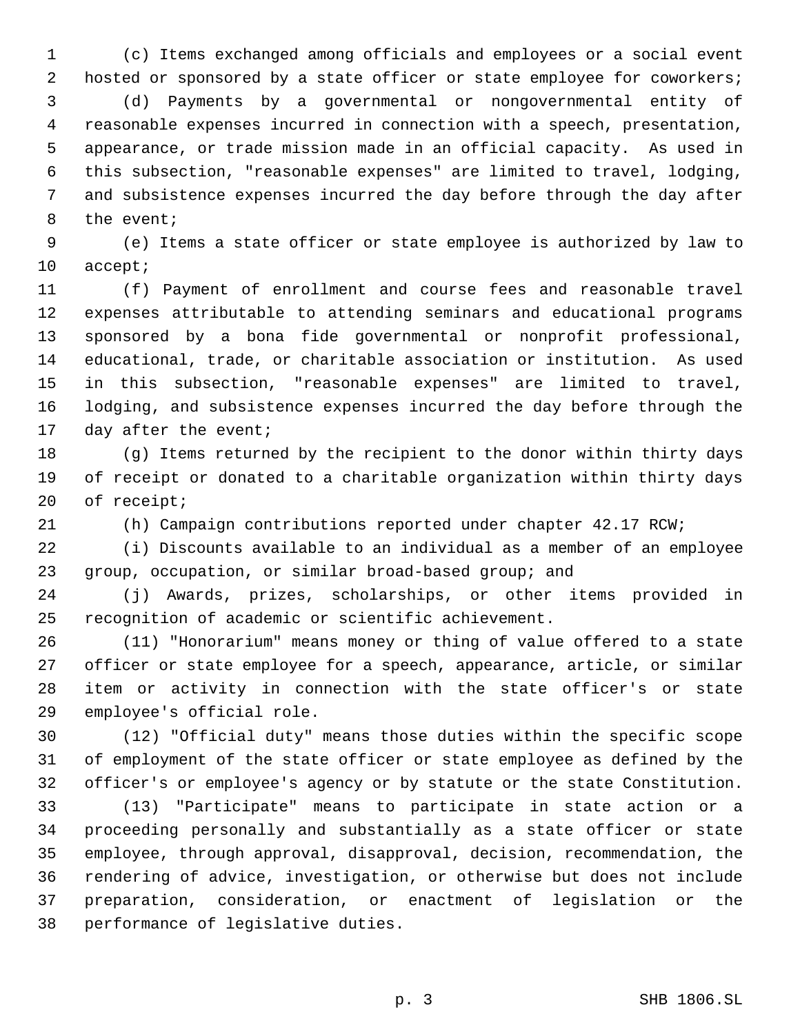(c) Items exchanged among officials and employees or a social event 2 hosted or sponsored by a state officer or state employee for coworkers; (d) Payments by a governmental or nongovernmental entity of reasonable expenses incurred in connection with a speech, presentation, appearance, or trade mission made in an official capacity. As used in this subsection, "reasonable expenses" are limited to travel, lodging, and subsistence expenses incurred the day before through the day after the event;

 (e) Items a state officer or state employee is authorized by law to accept;

 (f) Payment of enrollment and course fees and reasonable travel expenses attributable to attending seminars and educational programs sponsored by a bona fide governmental or nonprofit professional, educational, trade, or charitable association or institution. As used in this subsection, "reasonable expenses" are limited to travel, lodging, and subsistence expenses incurred the day before through the day after the event;

 (g) Items returned by the recipient to the donor within thirty days of receipt or donated to a charitable organization within thirty days of receipt;

(h) Campaign contributions reported under chapter 42.17 RCW;

 (i) Discounts available to an individual as a member of an employee group, occupation, or similar broad-based group; and

 (j) Awards, prizes, scholarships, or other items provided in recognition of academic or scientific achievement.

 (11) "Honorarium" means money or thing of value offered to a state officer or state employee for a speech, appearance, article, or similar item or activity in connection with the state officer's or state employee's official role.

 (12) "Official duty" means those duties within the specific scope of employment of the state officer or state employee as defined by the officer's or employee's agency or by statute or the state Constitution.

 (13) "Participate" means to participate in state action or a proceeding personally and substantially as a state officer or state employee, through approval, disapproval, decision, recommendation, the rendering of advice, investigation, or otherwise but does not include preparation, consideration, or enactment of legislation or the performance of legislative duties.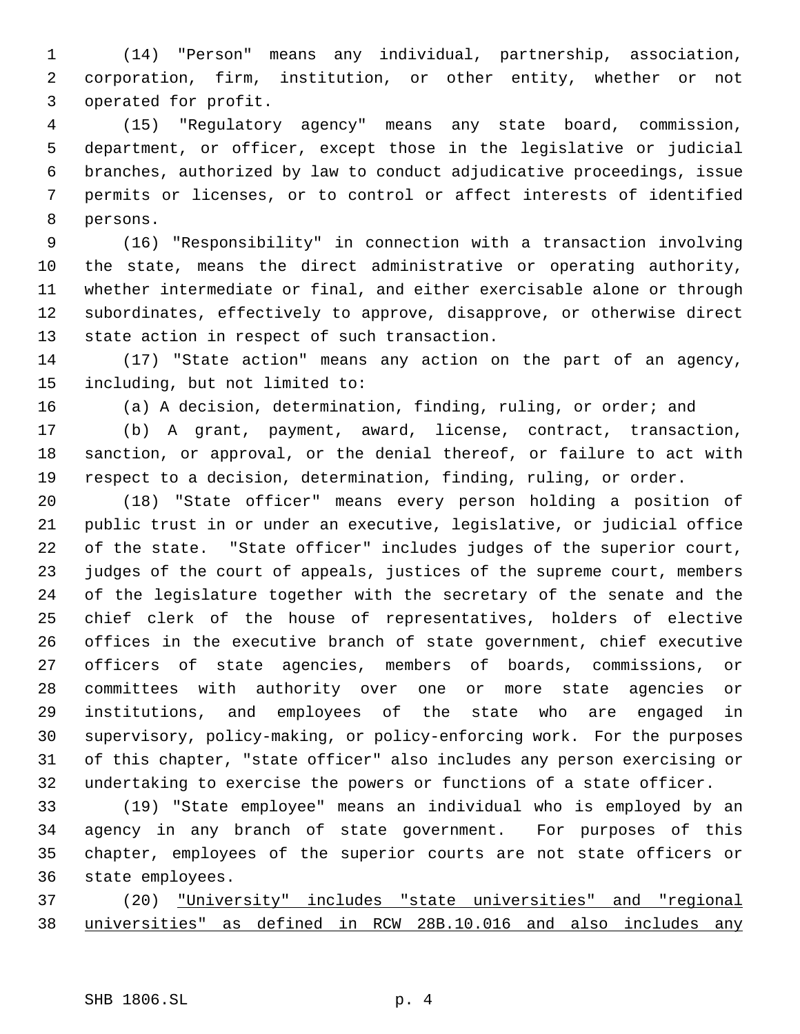(14) "Person" means any individual, partnership, association, corporation, firm, institution, or other entity, whether or not operated for profit.

 (15) "Regulatory agency" means any state board, commission, department, or officer, except those in the legislative or judicial branches, authorized by law to conduct adjudicative proceedings, issue permits or licenses, or to control or affect interests of identified persons.

 (16) "Responsibility" in connection with a transaction involving the state, means the direct administrative or operating authority, whether intermediate or final, and either exercisable alone or through subordinates, effectively to approve, disapprove, or otherwise direct state action in respect of such transaction.

 (17) "State action" means any action on the part of an agency, including, but not limited to:

(a) A decision, determination, finding, ruling, or order; and

 (b) A grant, payment, award, license, contract, transaction, sanction, or approval, or the denial thereof, or failure to act with respect to a decision, determination, finding, ruling, or order.

 (18) "State officer" means every person holding a position of public trust in or under an executive, legislative, or judicial office of the state. "State officer" includes judges of the superior court, judges of the court of appeals, justices of the supreme court, members of the legislature together with the secretary of the senate and the chief clerk of the house of representatives, holders of elective offices in the executive branch of state government, chief executive officers of state agencies, members of boards, commissions, or committees with authority over one or more state agencies or institutions, and employees of the state who are engaged in supervisory, policy-making, or policy-enforcing work. For the purposes of this chapter, "state officer" also includes any person exercising or undertaking to exercise the powers or functions of a state officer.

 (19) "State employee" means an individual who is employed by an agency in any branch of state government. For purposes of this chapter, employees of the superior courts are not state officers or state employees.

 (20) "University" includes "state universities" and "regional universities" as defined in RCW 28B.10.016 and also includes any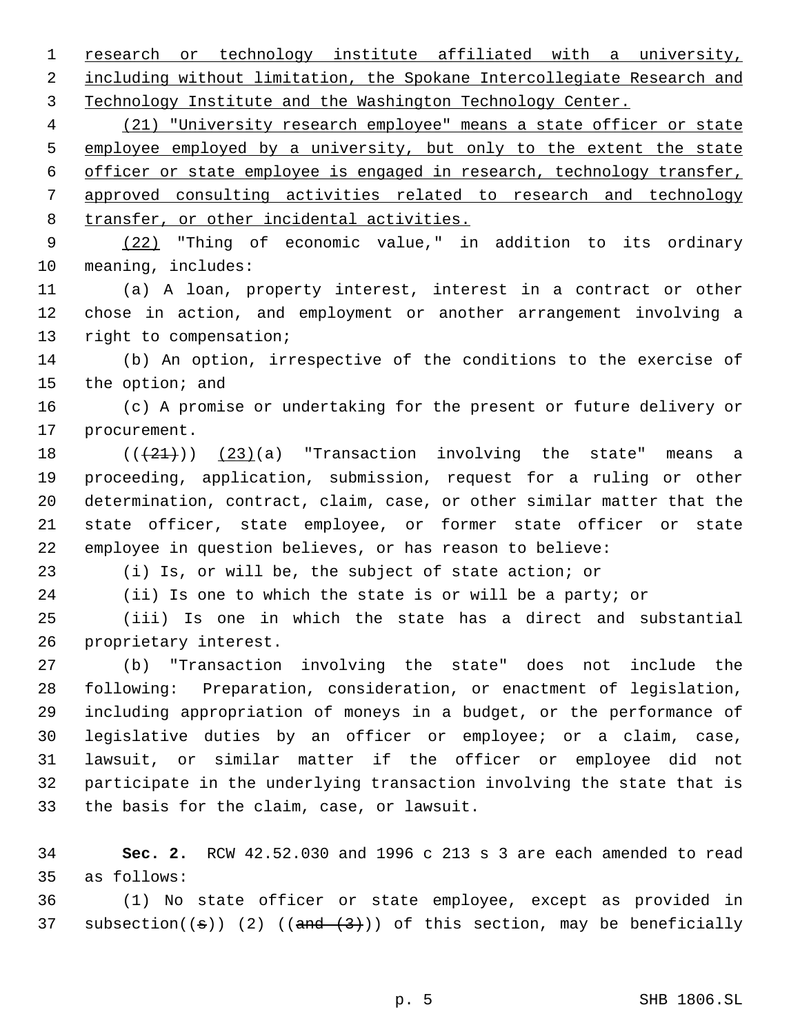research or technology institute affiliated with a university, 2 including without limitation, the Spokane Intercollegiate Research and Technology Institute and the Washington Technology Center.

 (21) "University research employee" means a state officer or state 5 employee employed by a university, but only to the extent the state officer or state employee is engaged in research, technology transfer, approved consulting activities related to research and technology transfer, or other incidental activities.

 (22) "Thing of economic value," in addition to its ordinary meaning, includes:

 (a) A loan, property interest, interest in a contract or other chose in action, and employment or another arrangement involving a right to compensation;

 (b) An option, irrespective of the conditions to the exercise of the option; and

 (c) A promise or undertaking for the present or future delivery or procurement.

 $((+21))$   $(23)(a)$  "Transaction involving the state" means a proceeding, application, submission, request for a ruling or other determination, contract, claim, case, or other similar matter that the state officer, state employee, or former state officer or state employee in question believes, or has reason to believe:

(i) Is, or will be, the subject of state action; or

(ii) Is one to which the state is or will be a party; or

 (iii) Is one in which the state has a direct and substantial proprietary interest.

 (b) "Transaction involving the state" does not include the following: Preparation, consideration, or enactment of legislation, including appropriation of moneys in a budget, or the performance of legislative duties by an officer or employee; or a claim, case, lawsuit, or similar matter if the officer or employee did not participate in the underlying transaction involving the state that is the basis for the claim, case, or lawsuit.

 **Sec. 2.** RCW 42.52.030 and 1996 c 213 s 3 are each amended to read as follows:

 (1) No state officer or state employee, except as provided in 37 subsection( $(\sigma)$ ) (2) ( $(\text{and} \text{--}(3))$ ) of this section, may be beneficially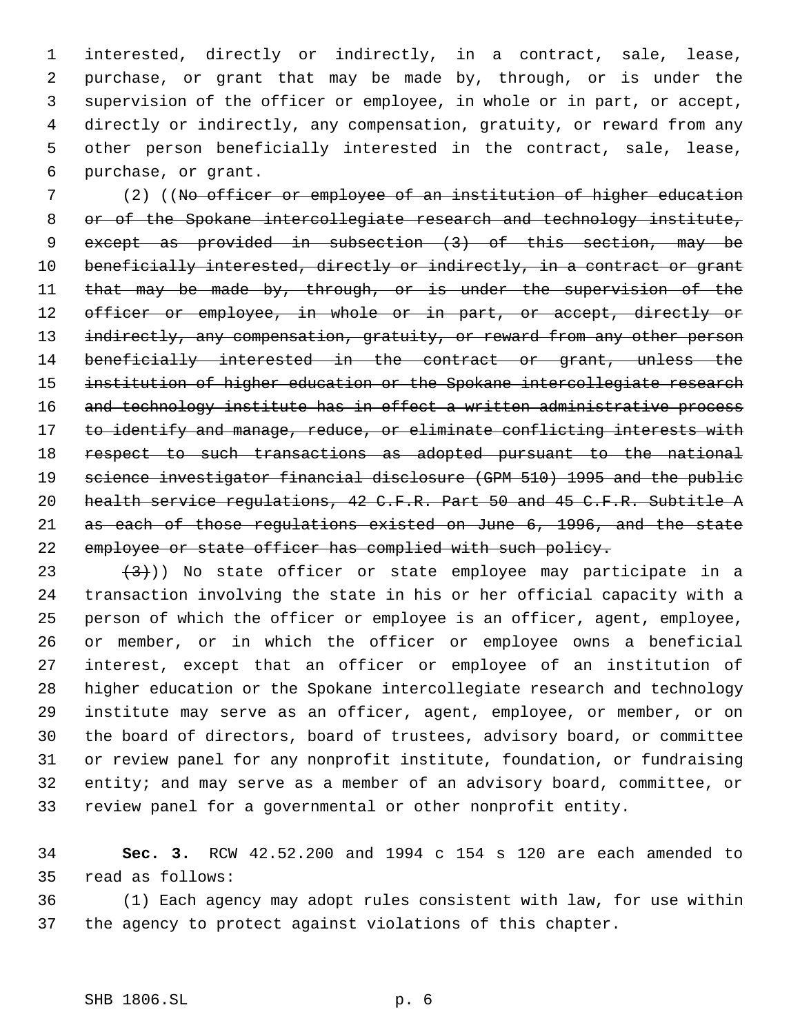interested, directly or indirectly, in a contract, sale, lease, purchase, or grant that may be made by, through, or is under the supervision of the officer or employee, in whole or in part, or accept, directly or indirectly, any compensation, gratuity, or reward from any other person beneficially interested in the contract, sale, lease, purchase, or grant.

 (2) ((No officer or employee of an institution of higher education 8 or of the Spokane intercollegiate research and technology institute, except as provided in subsection (3) of this section, may be 10 beneficially interested, directly or indirectly, in a contract or grant 11 that may be made by, through, or is under the supervision of the 12 officer or employee, in whole or in part, or accept, directly or 13 indirectly, any compensation, gratuity, or reward from any other person 14 beneficially interested in the contract or grant, unless the 15 institution of higher education or the Spokane intercollegiate research 16 and technology institute has in effect a written administrative process 17 to identify and manage, reduce, or eliminate conflicting interests with respect to such transactions as adopted pursuant to the national science investigator financial disclosure (GPM 510) 1995 and the public 20 health service regulations, 42 C.F.R. Part 50 and 45 C.F.R. Subtitle A as each of those regulations existed on June 6, 1996, and the state employee or state officer has complied with such policy.

 $(3)$ )) No state officer or state employee may participate in a transaction involving the state in his or her official capacity with a person of which the officer or employee is an officer, agent, employee, or member, or in which the officer or employee owns a beneficial interest, except that an officer or employee of an institution of higher education or the Spokane intercollegiate research and technology institute may serve as an officer, agent, employee, or member, or on the board of directors, board of trustees, advisory board, or committee or review panel for any nonprofit institute, foundation, or fundraising entity; and may serve as a member of an advisory board, committee, or review panel for a governmental or other nonprofit entity.

 **Sec. 3.** RCW 42.52.200 and 1994 c 154 s 120 are each amended to read as follows:

 (1) Each agency may adopt rules consistent with law, for use within the agency to protect against violations of this chapter.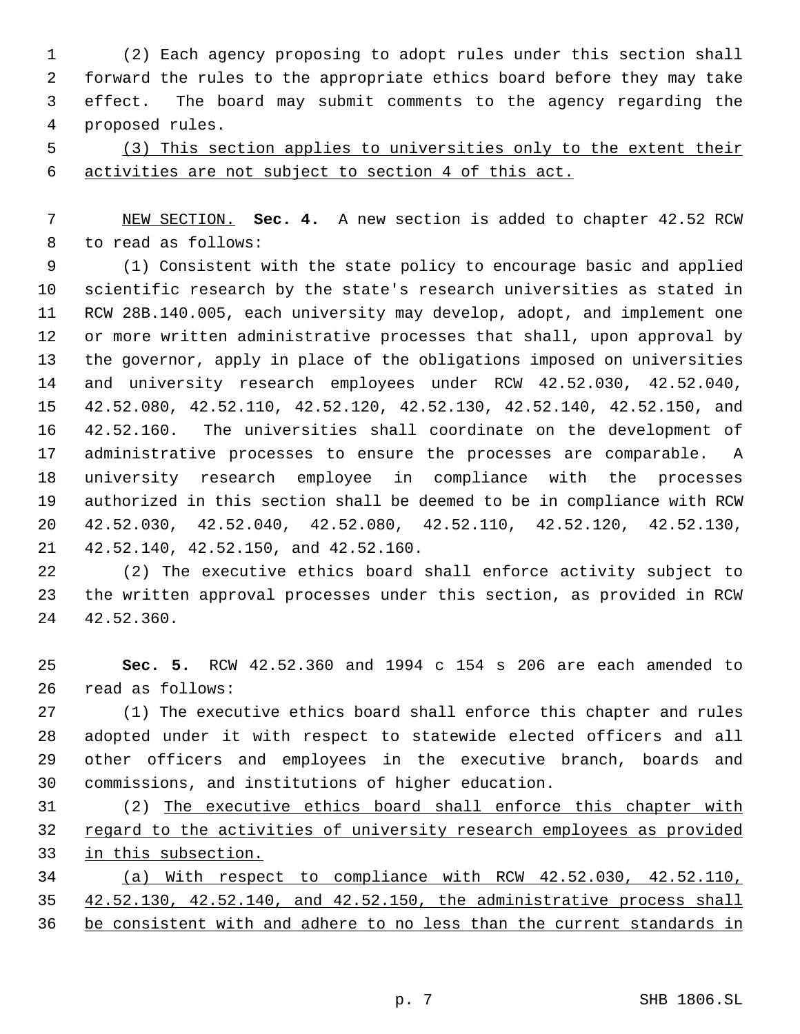(2) Each agency proposing to adopt rules under this section shall forward the rules to the appropriate ethics board before they may take effect. The board may submit comments to the agency regarding the proposed rules.

 (3) This section applies to universities only to the extent their activities are not subject to section 4 of this act.

 NEW SECTION. **Sec. 4.** A new section is added to chapter 42.52 RCW to read as follows:

 (1) Consistent with the state policy to encourage basic and applied scientific research by the state's research universities as stated in RCW 28B.140.005, each university may develop, adopt, and implement one or more written administrative processes that shall, upon approval by the governor, apply in place of the obligations imposed on universities and university research employees under RCW 42.52.030, 42.52.040, 42.52.080, 42.52.110, 42.52.120, 42.52.130, 42.52.140, 42.52.150, and 42.52.160. The universities shall coordinate on the development of administrative processes to ensure the processes are comparable. A university research employee in compliance with the processes authorized in this section shall be deemed to be in compliance with RCW 42.52.030, 42.52.040, 42.52.080, 42.52.110, 42.52.120, 42.52.130, 42.52.140, 42.52.150, and 42.52.160.

 (2) The executive ethics board shall enforce activity subject to the written approval processes under this section, as provided in RCW 42.52.360.

 **Sec. 5.** RCW 42.52.360 and 1994 c 154 s 206 are each amended to read as follows:

 (1) The executive ethics board shall enforce this chapter and rules adopted under it with respect to statewide elected officers and all other officers and employees in the executive branch, boards and commissions, and institutions of higher education.

 (2) The executive ethics board shall enforce this chapter with 32 regard to the activities of university research employees as provided in this subsection.

 (a) With respect to compliance with RCW 42.52.030, 42.52.110, 42.52.130, 42.52.140, and 42.52.150, the administrative process shall be consistent with and adhere to no less than the current standards in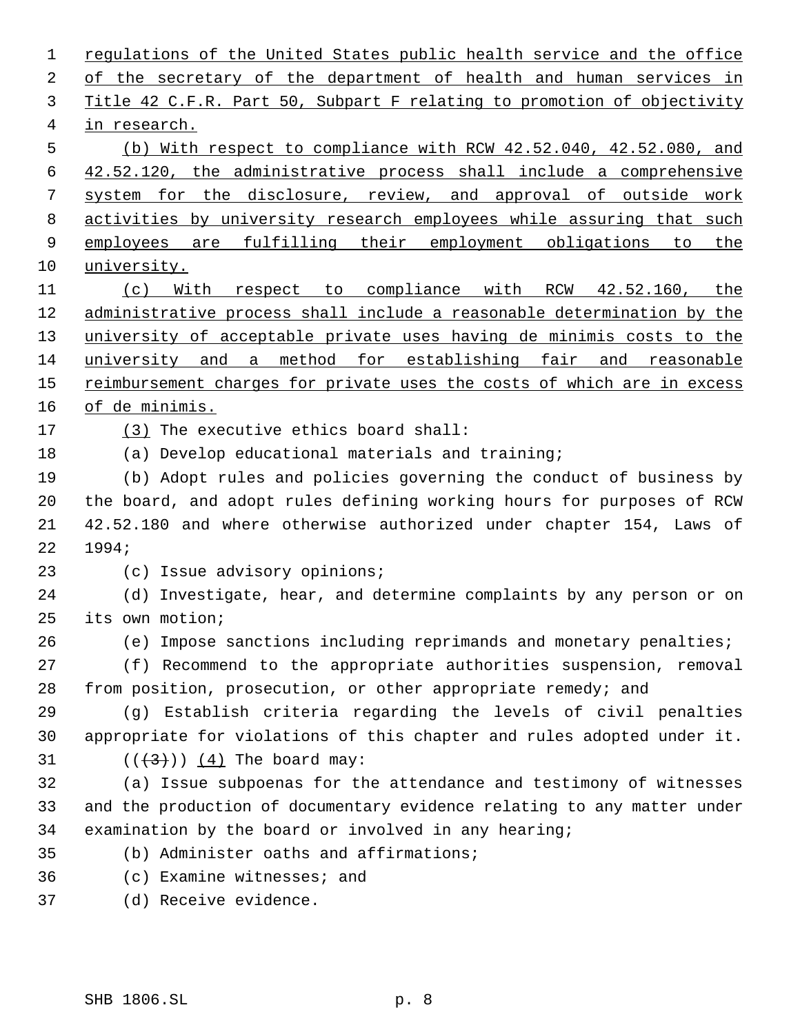1 regulations of the United States public health service and the office of the secretary of the department of health and human services in Title 42 C.F.R. Part 50, Subpart F relating to promotion of objectivity in research. (b) With respect to compliance with RCW 42.52.040, 42.52.080, and 42.52.120, the administrative process shall include a comprehensive system for the disclosure, review, and approval of outside work activities by university research employees while assuring that such 9 employees are fulfilling their employment obligations to the 10 university. (c) With respect to compliance with RCW 42.52.160, the administrative process shall include a reasonable determination by the university of acceptable private uses having de minimis costs to the university and a method for establishing fair and reasonable 15 reimbursement charges for private uses the costs of which are in excess of de minimis. (3) The executive ethics board shall: (a) Develop educational materials and training; (b) Adopt rules and policies governing the conduct of business by the board, and adopt rules defining working hours for purposes of RCW 42.52.180 and where otherwise authorized under chapter 154, Laws of 1994; (c) Issue advisory opinions; (d) Investigate, hear, and determine complaints by any person or on its own motion; (e) Impose sanctions including reprimands and monetary penalties; (f) Recommend to the appropriate authorities suspension, removal from position, prosecution, or other appropriate remedy; and (g) Establish criteria regarding the levels of civil penalties appropriate for violations of this chapter and rules adopted under it.  $((+3))$   $(4)$  The board may: (a) Issue subpoenas for the attendance and testimony of witnesses and the production of documentary evidence relating to any matter under examination by the board or involved in any hearing; (b) Administer oaths and affirmations; (c) Examine witnesses; and (d) Receive evidence.